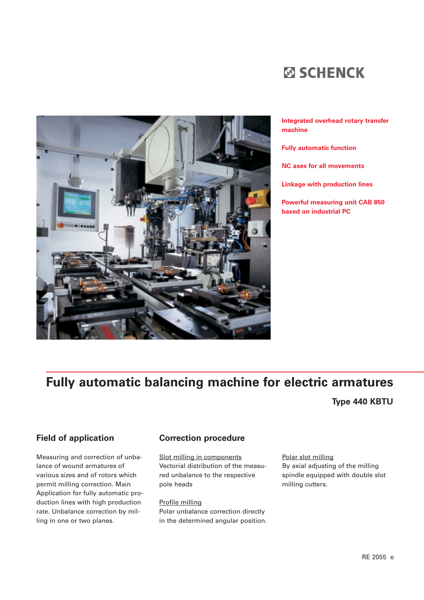



#### **Integrated overhead rotary transfer machine**

**Fully automatic function** 

**NC axes for all movements** 

**Linkage with production lines** 

**Powerful measuring unit CAB 850 based on industrial PC** 

## **Fully automatic balancing machine for electric armatures**

## **Type 440 KBTU**

#### **Field of application**

Measuring and correction of unbalance of wound armatures of various sizes and of rotors which permit milling correction. Main Application for fully automatic production lines with high production rate. Unbalance correction by milling in one or two planes.

#### **Correction procedure**

Slot milling in components Vectorial distribution of the measured unbalance to the respective pole heads

Profile milling Polar unbalance correction directly in the determined angular position. Polar slot milling By axial adjusting of the milling spindle equipped with double slot milling cutters.